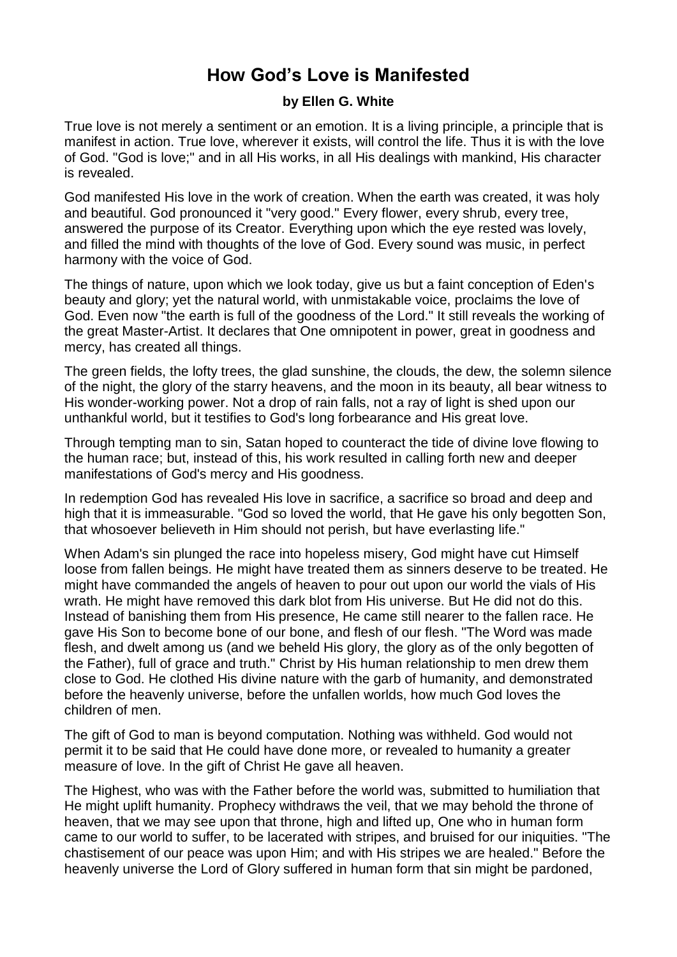## **How God's Love is Manifested**

## **by Ellen G. White**

True love is not merely a sentiment or an emotion. It is a living principle, a principle that is manifest in action. True love, wherever it exists, will control the life. Thus it is with the love of God. "God is love;" and in all His works, in all His dealings with mankind, His character is revealed.

God manifested His love in the work of creation. When the earth was created, it was holy and beautiful. God pronounced it "very good." Every flower, every shrub, every tree, answered the purpose of its Creator. Everything upon which the eye rested was lovely, and filled the mind with thoughts of the love of God. Every sound was music, in perfect harmony with the voice of God.

The things of nature, upon which we look today, give us but a faint conception of Eden's beauty and glory; yet the natural world, with unmistakable voice, proclaims the love of God. Even now "the earth is full of the goodness of the Lord." It still reveals the working of the great Master-Artist. It declares that One omnipotent in power, great in goodness and mercy, has created all things.

The green fields, the lofty trees, the glad sunshine, the clouds, the dew, the solemn silence of the night, the glory of the starry heavens, and the moon in its beauty, all bear witness to His wonder-working power. Not a drop of rain falls, not a ray of light is shed upon our unthankful world, but it testifies to God's long forbearance and His great love.

Through tempting man to sin, Satan hoped to counteract the tide of divine love flowing to the human race; but, instead of this, his work resulted in calling forth new and deeper manifestations of God's mercy and His goodness.

In redemption God has revealed His love in sacrifice, a sacrifice so broad and deep and high that it is immeasurable. "God so loved the world, that He gave his only begotten Son, that whosoever believeth in Him should not perish, but have everlasting life."

When Adam's sin plunged the race into hopeless misery, God might have cut Himself loose from fallen beings. He might have treated them as sinners deserve to be treated. He might have commanded the angels of heaven to pour out upon our world the vials of His wrath. He might have removed this dark blot from His universe. But He did not do this. Instead of banishing them from His presence, He came still nearer to the fallen race. He gave His Son to become bone of our bone, and flesh of our flesh. "The Word was made flesh, and dwelt among us (and we beheld His glory, the glory as of the only begotten of the Father), full of grace and truth." Christ by His human relationship to men drew them close to God. He clothed His divine nature with the garb of humanity, and demonstrated before the heavenly universe, before the unfallen worlds, how much God loves the children of men.

The gift of God to man is beyond computation. Nothing was withheld. God would not permit it to be said that He could have done more, or revealed to humanity a greater measure of love. In the gift of Christ He gave all heaven.

The Highest, who was with the Father before the world was, submitted to humiliation that He might uplift humanity. Prophecy withdraws the veil, that we may behold the throne of heaven, that we may see upon that throne, high and lifted up, One who in human form came to our world to suffer, to be lacerated with stripes, and bruised for our iniquities. "The chastisement of our peace was upon Him; and with His stripes we are healed." Before the heavenly universe the Lord of Glory suffered in human form that sin might be pardoned,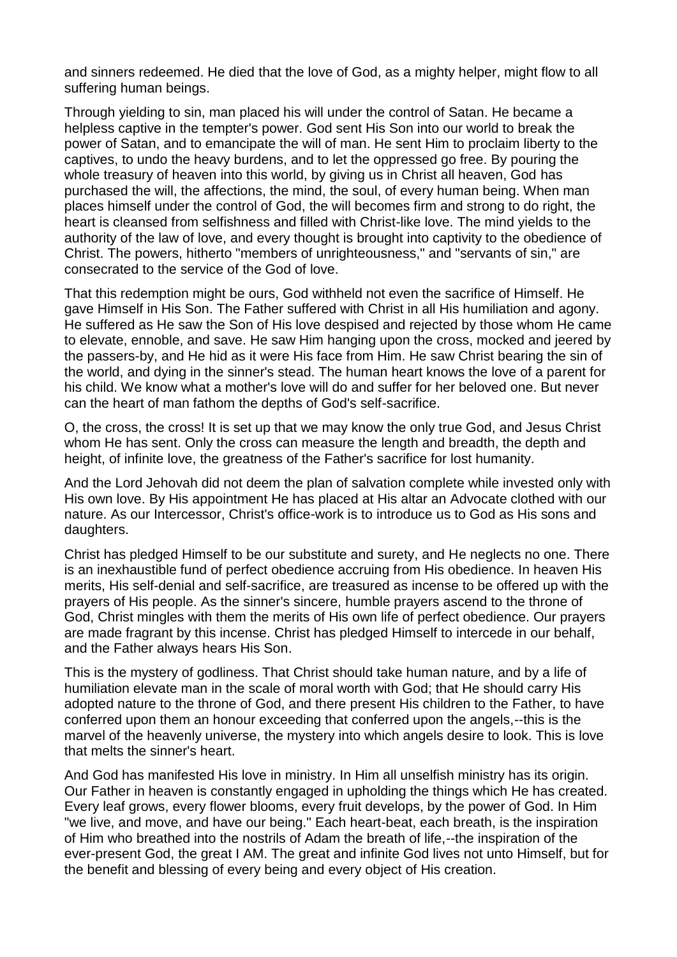and sinners redeemed. He died that the love of God, as a mighty helper, might flow to all suffering human beings.

Through yielding to sin, man placed his will under the control of Satan. He became a helpless captive in the tempter's power. God sent His Son into our world to break the power of Satan, and to emancipate the will of man. He sent Him to proclaim liberty to the captives, to undo the heavy burdens, and to let the oppressed go free. By pouring the whole treasury of heaven into this world, by giving us in Christ all heaven, God has purchased the will, the affections, the mind, the soul, of every human being. When man places himself under the control of God, the will becomes firm and strong to do right, the heart is cleansed from selfishness and filled with Christ-like love. The mind yields to the authority of the law of love, and every thought is brought into captivity to the obedience of Christ. The powers, hitherto "members of unrighteousness," and "servants of sin," are consecrated to the service of the God of love.

That this redemption might be ours, God withheld not even the sacrifice of Himself. He gave Himself in His Son. The Father suffered with Christ in all His humiliation and agony. He suffered as He saw the Son of His love despised and rejected by those whom He came to elevate, ennoble, and save. He saw Him hanging upon the cross, mocked and jeered by the passers-by, and He hid as it were His face from Him. He saw Christ bearing the sin of the world, and dying in the sinner's stead. The human heart knows the love of a parent for his child. We know what a mother's love will do and suffer for her beloved one. But never can the heart of man fathom the depths of God's self-sacrifice.

O, the cross, the cross! It is set up that we may know the only true God, and Jesus Christ whom He has sent. Only the cross can measure the length and breadth, the depth and height, of infinite love, the greatness of the Father's sacrifice for lost humanity.

And the Lord Jehovah did not deem the plan of salvation complete while invested only with His own love. By His appointment He has placed at His altar an Advocate clothed with our nature. As our Intercessor, Christ's office-work is to introduce us to God as His sons and daughters.

Christ has pledged Himself to be our substitute and surety, and He neglects no one. There is an inexhaustible fund of perfect obedience accruing from His obedience. In heaven His merits, His self-denial and self-sacrifice, are treasured as incense to be offered up with the prayers of His people. As the sinner's sincere, humble prayers ascend to the throne of God, Christ mingles with them the merits of His own life of perfect obedience. Our prayers are made fragrant by this incense. Christ has pledged Himself to intercede in our behalf, and the Father always hears His Son.

This is the mystery of godliness. That Christ should take human nature, and by a life of humiliation elevate man in the scale of moral worth with God; that He should carry His adopted nature to the throne of God, and there present His children to the Father, to have conferred upon them an honour exceeding that conferred upon the angels,--this is the marvel of the heavenly universe, the mystery into which angels desire to look. This is love that melts the sinner's heart.

And God has manifested His love in ministry. In Him all unselfish ministry has its origin. Our Father in heaven is constantly engaged in upholding the things which He has created. Every leaf grows, every flower blooms, every fruit develops, by the power of God. In Him "we live, and move, and have our being." Each heart-beat, each breath, is the inspiration of Him who breathed into the nostrils of Adam the breath of life,--the inspiration of the ever-present God, the great I AM. The great and infinite God lives not unto Himself, but for the benefit and blessing of every being and every object of His creation.